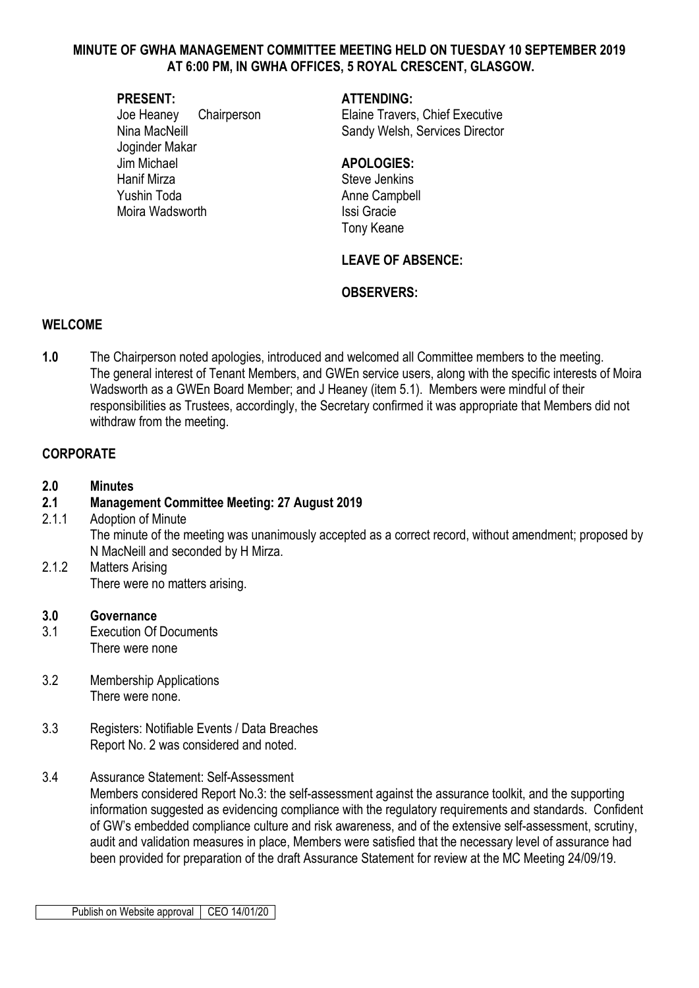#### **MINUTE OF GWHA MANAGEMENT COMMITTEE MEETING HELD ON TUESDAY 10 SEPTEMBER 2019 AT 6:00 PM, IN GWHA OFFICES, 5 ROYAL CRESCENT, GLASGOW.**

Joginder Makar Jim Michael **APOLOGIES:** Hanif Mirza **Steve Jenkins** Yushin Toda **Anne Campbell** Moira Wadsworth **Issi** Gracie

#### **PRESENT: ATTENDING:**

Joe Heaney Chairperson Elaine Travers, Chief Executive Nina MacNeill **Nina MacNeill** Sandy Welsh, Services Director

Tony Keane

## **LEAVE OF ABSENCE:**

#### **OBSERVERS:**

#### **WELCOME**

**1.0** The Chairperson noted apologies, introduced and welcomed all Committee members to the meeting. The general interest of Tenant Members, and GWEn service users, along with the specific interests of Moira Wadsworth as a GWEn Board Member; and J Heaney (item 5.1). Members were mindful of their responsibilities as Trustees, accordingly, the Secretary confirmed it was appropriate that Members did not withdraw from the meeting.

### **CORPORATE**

#### **2.0 Minutes**

### **2.1 Management Committee Meeting: 27 August 2019**

- 2.1.1 Adoption of Minute The minute of the meeting was unanimously accepted as a correct record, without amendment; proposed by N MacNeill and seconded by H Mirza.
- 2.1.2 Matters Arising There were no matters arising.

#### **3.0 Governance**

- 3.1 Execution Of Documents There were none
- 3.2 Membership Applications There were none.
- 3.3 Registers: Notifiable Events / Data Breaches Report No. 2 was considered and noted.
- 3.4 Assurance Statement: Self-Assessment Members considered Report No.3: the self-assessment against the assurance toolkit, and the supporting information suggested as evidencing compliance with the regulatory requirements and standards. Confident of GW's embedded compliance culture and risk awareness, and of the extensive self-assessment, scrutiny, audit and validation measures in place, Members were satisfied that the necessary level of assurance had been provided for preparation of the draft Assurance Statement for review at the MC Meeting 24/09/19.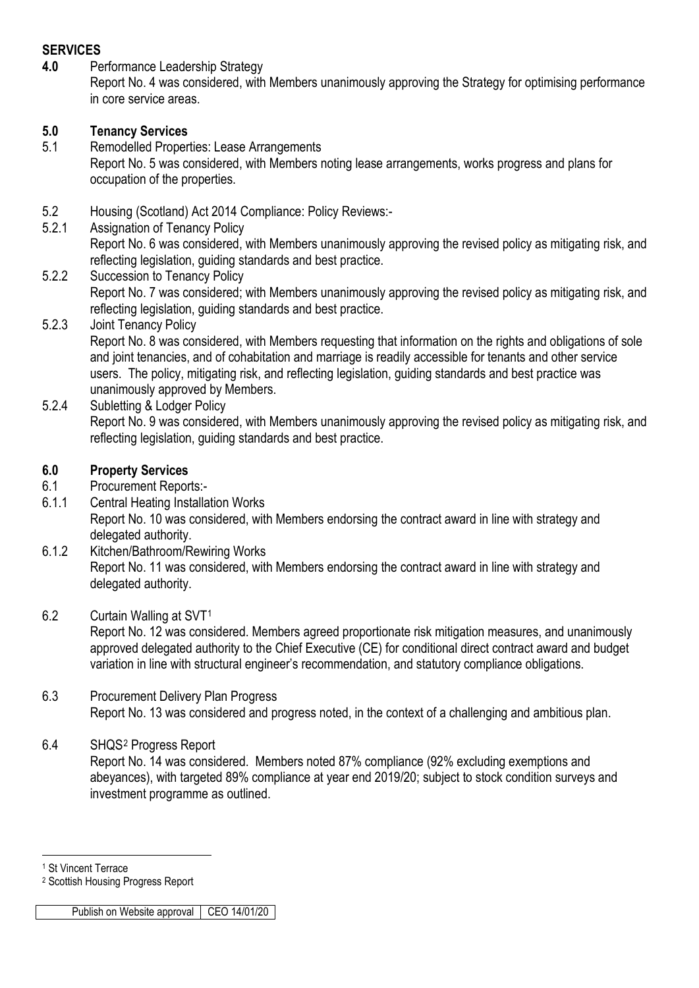# **SERVICES**

**4.0** Performance Leadership Strategy

Report No. 4 was considered, with Members unanimously approving the Strategy for optimising performance in core service areas.

# **5.0 Tenancy Services**

- 5.1 Remodelled Properties: Lease Arrangements Report No. 5 was considered, with Members noting lease arrangements, works progress and plans for occupation of the properties.
- 5.2 Housing (Scotland) Act 2014 Compliance: Policy Reviews:-
- 5.2.1 Assignation of Tenancy Policy Report No. 6 was considered, with Members unanimously approving the revised policy as mitigating risk, and reflecting legislation, guiding standards and best practice.
- 5.2.2 Succession to Tenancy Policy Report No. 7 was considered; with Members unanimously approving the revised policy as mitigating risk, and reflecting legislation, guiding standards and best practice.
- 5.2.3 Joint Tenancy Policy

Report No. 8 was considered, with Members requesting that information on the rights and obligations of sole and joint tenancies, and of cohabitation and marriage is readily accessible for tenants and other service users. The policy, mitigating risk, and reflecting legislation, guiding standards and best practice was unanimously approved by Members.

5.2.4 Subletting & Lodger Policy Report No. 9 was considered, with Members unanimously approving the revised policy as mitigating risk, and reflecting legislation, guiding standards and best practice.

# **6.0 Property Services**

- 6.1 Procurement Reports:-
- 6.1.1 Central Heating Installation Works Report No. 10 was considered, with Members endorsing the contract award in line with strategy and delegated authority.
- 6.1.2 Kitchen/Bathroom/Rewiring Works Report No. 11 was considered, with Members endorsing the contract award in line with strategy and delegated authority.
- 6.2 Curtain Walling at SVT[1](#page-1-0)

Report No. 12 was considered. Members agreed proportionate risk mitigation measures, and unanimously approved delegated authority to the Chief Executive (CE) for conditional direct contract award and budget variation in line with structural engineer's recommendation, and statutory compliance obligations.

6.3 Procurement Delivery Plan Progress Report No. 13 was considered and progress noted, in the context of a challenging and ambitious plan.

# 6.4 SHQS[2](#page-1-1) Progress Report

Report No. 14 was considered. Members noted 87% compliance (92% excluding exemptions and abeyances), with targeted 89% compliance at year end 2019/20; subject to stock condition surveys and investment programme as outlined.

<sup>-</sup><sup>1</sup> St Vincent Terrace

<span id="page-1-1"></span><span id="page-1-0"></span><sup>2</sup> Scottish Housing Progress Report